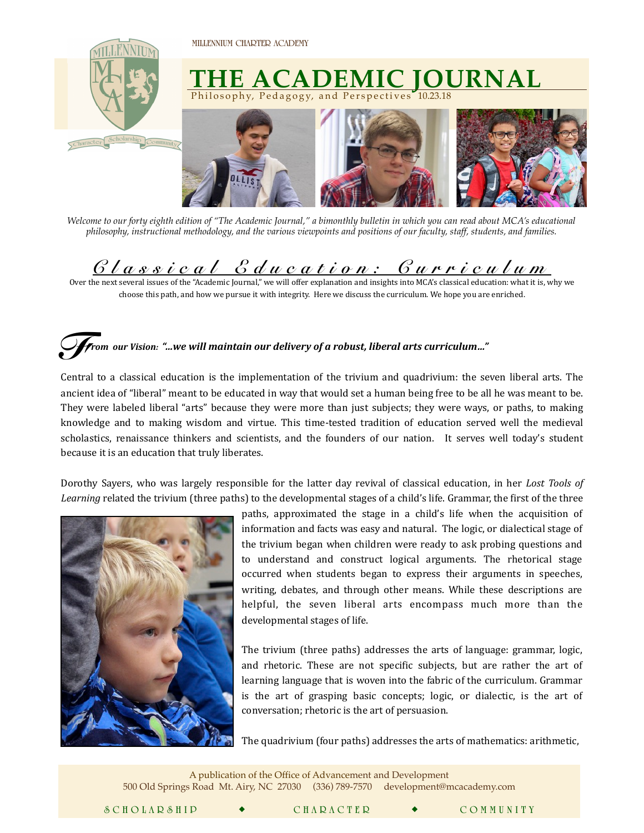**MILLENNIUM CHARTER ACADEMY** 



*Welcome to our forty eighth edition of "The Academic Journal," a bimonthly bulletin in which you can read about MCA's educational philosophy, instructional methodology, and the various viewpoints and positions of our faculty, staff, students, and families.* 

## $\frac{C\,U\,a\,s\,v\,v\,a\,U\,B\,d\,u\,c\,a\,t\,i\,o\,n\,:\,C\,u\,r\,v\,i\,c\,u\,U\,w\,m}{\omega\,\mathrm{d}x\,\mathrm{d}x\,\mathrm{d}x\,\mathrm{d}x\,\mathrm{d}x\,\mathrm{d}x\,\mathrm{d}x\,\mathrm{d}x\,\mathrm{d}x\,\mathrm{d}x\,\mathrm{d}x\,\mathrm{d}x\,\mathrm{d}x\,\mathrm{d}x\,\mathrm{d}x\,\mathrm{d}x\,\mathrm{d}x\,\mathrm{d}x\,\mathrm{d}x$

choose this path, and how we pursue it with integrity. Here we discuss the curriculum. We hope you are enriched.

## $\bigcup$   $\blacktriangledown$  *r*om  $\emph{our Vision:}$  "…we will maintain our delivery of a robust, liberal arts curriculum…" *F*

Central to a classical education is the implementation of the trivium and quadrivium: the seven liberal arts. The ancient idea of "liberal" meant to be educated in way that would set a human being free to be all he was meant to be. They were labeled liberal "arts" because they were more than just subjects; they were ways, or paths, to making knowledge and to making wisdom and virtue. This time-tested tradition of education served well the medieval scholastics, renaissance thinkers and scientists, and the founders of our nation. It serves well today's student because it is an education that truly liberates.

Dorothy Sayers, who was largely responsible for the latter day revival of classical education, in her *Lost Tools of Learning* related the trivium (three paths) to the developmental stages of a child's life. Grammar, the first of the three



 $\mathcal{L} = \frac{1}{2}$ 

paths, approximated the stage in a child's life when the acquisition of information and facts was easy and natural. The logic, or dialectical stage of the trivium began when children were ready to ask probing questions and to understand and construct logical arguments. The rhetorical stage occurred when students began to express their arguments in speeches, writing, debates, and through other means. While these descriptions are helpful, the seven liberal arts encompass much more than the developmental stages of life.

The trivium (three paths) addresses the arts of language: grammar, logic, and rhetoric. These are not specific subjects, but are rather the art of learning language that is woven into the fabric of the curriculum. Grammar is the art of grasping basic concepts; logic, or dialectic, is the art of conversation; rhetoric is the art of persuasion.

The quadrivium (four paths) addresses the arts of mathematics: arithmetic,

A publication of the Office of Advancement and Development 500 Old Springs Road Mt. Airy, NC 27030 (336) 789-7570 [development@mcacademy.com](mailto:advancementanddevelopment@mcacademy.com)